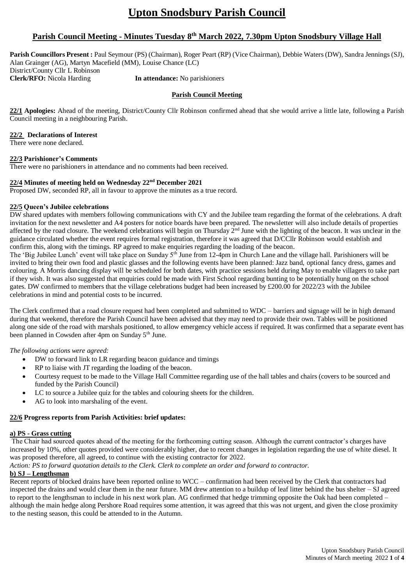# **Upton Snodsbury Parish Council**

# **Parish Council Meeting - Minutes Tuesday 8 th March 2022, 7.30pm Upton Snodsbury Village Hall**

**Parish Councillors Present :** Paul Seymour (PS) (Chairman), Roger Peart (RP) (Vice Chairman), Debbie Waters (DW), Sandra Jennings (SJ), Alan Grainger (AG), Martyn Macefield (MM), Louise Chance (LC) District/County Cllr L Robinson **Clerk/RFO:** Nicola Harding **In attendance:** No parishioners

#### **Parish Council Meeting**

**22/1 Apologies:** Ahead of the meeting, District/County Cllr Robinson confirmed ahead that she would arrive a little late, following a Parish Council meeting in a neighbouring Parish.

# **22/2 Declarations of Interest**

There were none declared.

#### **22/3 Parishioner's Comments**

There were no parishioners in attendance and no comments had been received.

# **22/4 Minutes of meeting held on Wednesday 22nd December 2021**

Proposed DW, seconded RP, all in favour to approve the minutes as a true record.

# **22/5 Queen's Jubilee celebrations**

DW shared updates with members following communications with CY and the Jubilee team regarding the format of the celebrations. A draft invitation for the next newsletter and A4 posters for notice boards have been prepared. The newsletter will also include details of properties affected by the road closure. The weekend celebrations will begin on Thursday 2<sup>nd</sup> June with the lighting of the beacon. It was unclear in the guidance circulated whether the event requires formal registration, therefore it was agreed that D/CCllr Robinson would establish and confirm this, along with the timings. RP agreed to make enquiries regarding the loading of the beacon.

The 'Big Jubilee Lunch' event will take place on Sunday 5<sup>th</sup> June from 12-4pm in Church Lane and the village hall. Parishioners will be invited to bring their own food and plastic glasses and the following events have been planned: Jazz band, optional fancy dress, games and colouring. A Morris dancing display will be scheduled for both dates, with practice sessions held during May to enable villagers to take part if they wish. It was also suggested that enquiries could be made with First School regarding bunting to be potentially hung on the school gates. DW confirmed to members that the village celebrations budget had been increased by £200.00 for 2022/23 with the Jubilee celebrations in mind and potential costs to be incurred.

The Clerk confirmed that a road closure request had been completed and submitted to WDC – barriers and signage will be in high demand during that weekend, therefore the Parish Council have been advised that they may need to provide their own. Tables will be positioned along one side of the road with marshals positioned, to allow emergency vehicle access if required. It was confirmed that a separate event has been planned in Cowsden after 4pm on Sunday 5<sup>th</sup> June.

#### *The following actions were agreed:*

- DW to forward link to LR regarding beacon guidance and timings
- RP to liaise with JT regarding the loading of the beacon.
- Courtesy request to be made to the Village Hall Committee regarding use of the hall tables and chairs (covers to be sourced and funded by the Parish Council)
- LC to source a Jubilee quiz for the tables and colouring sheets for the children.
- AG to look into marshaling of the event.

#### **22/6 Progress reports from Parish Activities: brief updates:**

# **a) PS - Grass cutting**

The Chair had sourced quotes ahead of the meeting for the forthcoming cutting season. Although the current contractor's charges have increased by 10%, other quotes provided were considerably higher, due to recent changes in legislation regarding the use of white diesel. It was proposed therefore, all agreed, to continue with the existing contractor for 2022.

*Action: PS to forward quotation details to the Clerk. Clerk to complete an order and forward to contractor.*

# **b) SJ – Lengthsman**

Recent reports of blocked drains have been reported online to WCC – confirmation had been received by the Clerk that contractors had inspected the drains and would clear them in the near future. MM drew attention to a buildup of leaf litter behind the bus shelter – SJ agreed to report to the lengthsman to include in his next work plan. AG confirmed that hedge trimming opposite the Oak had been completed – although the main hedge along Pershore Road requires some attention, it was agreed that this was not urgent, and given the close proximity to the nesting season, this could be attended to in the Autumn.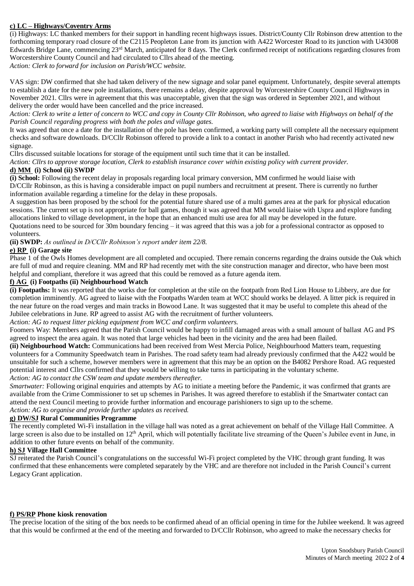# **c) LC – Highways/Coventry Arms**

(i) Highways: LC thanked members for their support in handling recent highways issues. District/County Cllr Robinson drew attention to the forthcoming temporary road closure of the C2115 Peopleton Lane from its junction with A422 Worcester Road to its junction with U43008 Edwards Bridge Lane, commencing 23rd March, anticipated for 8 days. The Clerk confirmed receipt of notifications regarding closures from Worcestershire County Council and had circulated to Cllrs ahead of the meeting.

*Action: Clerk to forward for inclusion on Parish/WCC website.*

VAS sign: DW confirmed that she had taken delivery of the new signage and solar panel equipment. Unfortunately, despite several attempts to establish a date for the new pole installations, there remains a delay, despite approval by Worcestershire County Council Highways in November 2021. Cllrs were in agreement that this was unacceptable, given that the sign was ordered in September 2021, and without delivery the order would have been cancelled and the price increased.

*Action: Clerk to write a letter of concern to WCC and copy in County Cllr Robinson, who agreed to liaise with Highways on behalf of the Parish Council regarding progress with both the poles and village gates.*

It was agreed that once a date for the installation of the pole has been confirmed, a working party will complete all the necessary equipment checks and software downloads. D/CCllr Robinson offered to provide a link to a contact in another Parish who had recently activated new signage.

Cllrs discussed suitable locations for storage of the equipment until such time that it can be installed.

*Action: Cllrs to approve storage location, Clerk to establish insurance cover within existing policy with current provider.*

## **d) MM (i) School (ii) SWDP**

**(i) School:** Following the recent delay in proposals regarding local primary conversion, MM confirmed he would liaise with D/CCllr Robinson, as this is having a considerable impact on pupil numbers and recruitment at present. There is currently no further information available regarding a timeline for the delay in these proposals.

A suggestion has been proposed by the school for the potential future shared use of a multi games area at the park for physical education sessions. The current set up is not appropriate for ball games, though it was agreed that MM would liaise with Uspra and explore funding allocations linked to village development, in the hope that an enhanced multi use area for all may be developed in the future. Quotations need to be sourced for 30m boundary fencing – it was agreed that this was a job for a professional contractor as opposed to volunteers.

### **(ii) SWDP:** *As outlined in D/CCllr Robinson's report under item 22/8.*

### **e) RP (i) Garage site**

Phase 1 of the Owls Homes development are all completed and occupied. There remain concerns regarding the drains outside the Oak which are full of mud and require cleaning. MM and RP had recently met with the site construction manager and director, who have been most helpful and compliant, therefore it was agreed that this could be removed as a future agenda item.

#### **f) AG (i) Footpaths (ii) Neighbourhood Watch**

**(i) Footpaths:** It was reported that the works due for completion at the stile on the footpath from Red Lion House to Libbery, are due for completion imminently. AG agreed to liaise with the Footpaths Warden team at WCC should works be delayed. A litter pick is required in the near future on the road verges and main tracks in Bowood Lane. It was suggested that it may be useful to complete this ahead of the Jubilee celebrations in June. RP agreed to assist AG with the recruitment of further volunteers.

#### *Action: AG to request litter picking equipment from WCC and confirm volunteers.*

Foomers Way: Members agreed that the Parish Council would be happy to infill damaged areas with a small amount of ballast AG and PS agreed to inspect the area again. It was noted that large vehicles had been in the vicinity and the area had been flailed.

**(ii) Neighbourhood Watch:** Communications had been received from West Mercia Police, Neighbourhood Matters team, requesting volunteers for a Community Speedwatch team in Parishes. The road safety team had already previously confirmed that the A422 would be unsuitable for such a scheme, however members were in agreement that this may be an option on the B4082 Pershore Road. AG requested potential interest and Cllrs confirmed that they would be willing to take turns in participating in the voluntary scheme. *Action: AG to contact the CSW team and update members thereafter.*

*Smartwater:* Following original enquiries and attempts by AG to initiate a meeting before the Pandemic, it was confirmed that grants are available from the Crime Commissioner to set up schemes in Parishes. It was agreed therefore to establish if the Smartwater contact can attend the next Council meeting to provide further information and encourage parishioners to sign up to the scheme.

*Action: AG to organise and provide further updates as received.*

# **g) DW/SJ Rural Communities Programme**

The recently completed Wi-Fi installation in the village hall was noted as a great achievement on behalf of the Village Hall Committee. A large screen is also due to be installed on 12<sup>th</sup> April, which will potentially facilitate live streaming of the Queen's Jubilee event in June, in addition to other future events on behalf of the community.

#### **h) SJ Village Hall Committee**

SJ reiterated the Parish Council's congratulations on the successful Wi-Fi project completed by the VHC through grant funding. It was confirmed that these enhancements were completed separately by the VHC and are therefore not included in the Parish Council's current Legacy Grant application.

# **f) PS/RP Phone kiosk renovation**

The precise location of the siting of the box needs to be confirmed ahead of an official opening in time for the Jubilee weekend. It was agreed that this would be confirmed at the end of the meeting and forwarded to D/CCllr Robinson, who agreed to make the necessary checks for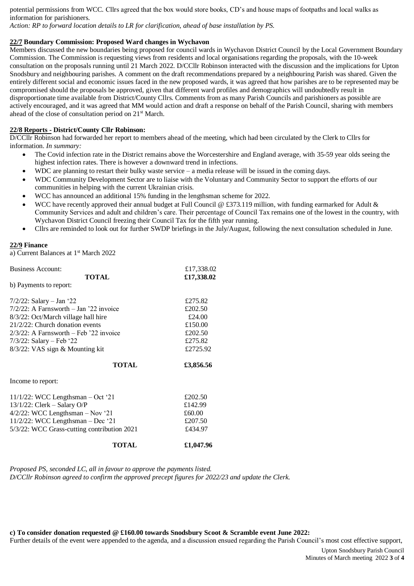potential permissions from WCC. Cllrs agreed that the box would store books, CD's and house maps of footpaths and local walks as information for parishioners.

*Action: RP to forward location details to LR for clarification, ahead of base installation by PS.*

#### **22/7 Boundary Commission: Proposed Ward changes in Wychavon**

Members discussed the new boundaries being proposed for council wards in Wychavon District Council by the Local Government Boundary Commission. The Commission is requesting views from residents and local organisations regarding the proposals, with the 10-week consultation on the proposals running until 21 March 2022. D/CCllr Robinson interacted with the discussion and the implications for Upton Snodsbury and neighbouring parishes. A comment on the draft recommendations prepared by a neighbouring Parish was shared. Given the entirely different social and economic issues faced in the new proposed wards, it was agreed that how parishes are to be represented may be compromised should the proposals be approved, given that different ward profiles and demographics will undoubtedly result in disproportionate time available from District/County Cllrs. Comments from as many Parish Councils and parishioners as possible are actively encouraged, and it was agreed that MM would action and draft a response on behalf of the Parish Council, sharing with members ahead of the close of consultation period on 21st March.

## **22/8 Reports - District/County Cllr Robinson:**

D/CCllr Robinson had forwarded her report to members ahead of the meeting, which had been circulated by the Clerk to Cllrs for information. *In summary:*

- The Covid infection rate in the District remains above the Worcestershire and England average, with 35-59 year olds seeing the highest infection rates. There is however a downward trend in infections.
- WDC are planning to restart their bulky waste service a media release will be issued in the coming days.
- WDC Community Development Sector are to liaise with the Voluntary and Community Sector to support the efforts of our communities in helping with the current Ukrainian crisis.
- WCC has announced an additional 15% funding in the lengthsman scheme for 2022.
- WCC have recently approved their annual budget at Full Council  $@$  £373.119 million, with funding earmarked for Adult  $\&$ Community Services and adult and children's care. Their percentage of Council Tax remains one of the lowest in the country, with Wychavon District Council freezing their Council Tax for the fifth year running.
- Cllrs are reminded to look out for further SWDP briefings in the July/August, following the next consultation scheduled in June.

#### **22/9 Finance**

a) Current Balances at 1<sup>st</sup> March 2022

| <b>Business Account:</b>                    | £17,338.02 |
|---------------------------------------------|------------|
| <b>TOTAL</b>                                | £17,338.02 |
| b) Payments to report:                      |            |
| $7/2/22$ : Salary – Jan '22                 | £275.82    |
| $7/2/22$ : A Farnsworth – Jan '22 invoice   | £202.50    |
| 8/3/22: Oct/March village hall hire         | £24.00     |
| $21/2/22$ : Church donation events          | £150.00    |
| $2/3/22$ : A Farnsworth – Feb '22 invoice   | £202.50    |
| $7/3/22$ : Salary – Feb '22                 | £275.82    |
| 8/3/22: VAS sign & Mounting kit             | £2725.92   |
| <b>TOTAL</b>                                | £3,856.56  |
| Income to report:                           |            |
| 11/1/22: WCC Lengthsman $-$ Oct '21         | £202.50    |
| $13/1/22$ : Clerk – Salary O/P              | £142.99    |
| $4/2/22$ : WCC Lengthsman - Nov '21         | £60.00     |
| 11/2/22: WCC Lengthsman $-$ Dec '21         | £207.50    |
| 5/3/22: WCC Grass-cutting contribution 2021 | £434.97    |

| <b>TOTAL</b> | £1,047.96 |
|--------------|-----------|
|              |           |

*Proposed PS, seconded LC, all in favour to approve the payments listed. D/CCllr Robinson agreed to confirm the approved precept figures for 2022/23 and update the Clerk.*

**c) To consider donation requested @ £160.00 towards Snodsbury Scoot & Scramble event June 2022:**

Further details of the event were appended to the agenda, and a discussion ensued regarding the Parish Council's most cost effective support,